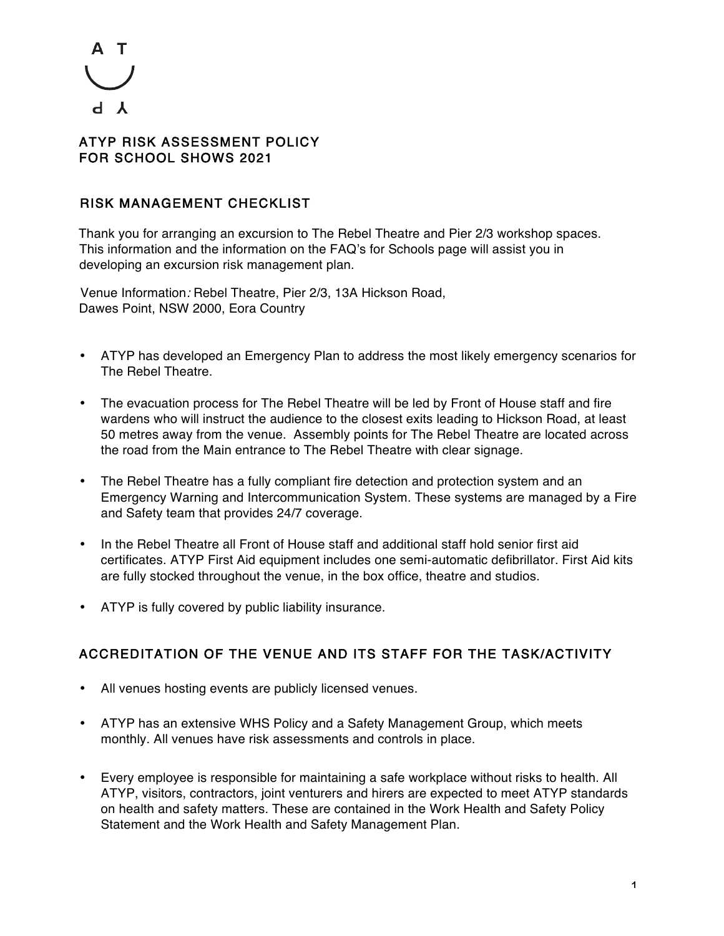

### ATYP RISK ASSESSMENT POLICY FOR SCHOOL SHOWS 2021

### RISK MANAGEMENT CHECKLIST

Thank you for arranging an excursion to The Rebel Theatre and Pier 2/3 workshop spaces. This information and the information on the FAQ's for Schools page will assist you in developing an excursion risk management plan.

Venue Information: Rebel Theatre, Pier 2/3, 13A Hickson Road, Dawes Point, NSW 2000, Eora Country

- ATYP has developed an Emergency Plan to address the most likely emergency scenarios for The Rebel Theatre.
- The evacuation process for The Rebel Theatre will be led by Front of House staff and fire wardens who will instruct the audience to the closest exits leading to Hickson Road, at least 50 metres away from the venue. Assembly points for The Rebel Theatre are located across the road from the Main entrance to The Rebel Theatre with clear signage.
- The Rebel Theatre has a fully compliant fire detection and protection system and an Emergency Warning and Intercommunication System. These systems are managed by a Fire and Safety team that provides 24/7 coverage.
- In the Rebel Theatre all Front of House staff and additional staff hold senior first aid certificates. ATYP First Aid equipment includes one semi-automatic defibrillator. First Aid kits are fully stocked throughout the venue, in the box office, theatre and studios.
- ATYP is fully covered by public liability insurance.

## ACCREDITATION OF THE VENUE AND ITS STAFF FOR THE TASK/ACTIVITY

- All venues hosting events are publicly licensed venues.
- ATYP has an extensive WHS Policy and a Safety Management Group, which meets monthly. All venues have risk assessments and controls in place.
- Every employee is responsible for maintaining a safe workplace without risks to health. All ATYP, visitors, contractors, joint venturers and hirers are expected to meet ATYP standards on health and safety matters. These are contained in the Work Health and Safety Policy Statement and the Work Health and Safety Management Plan.